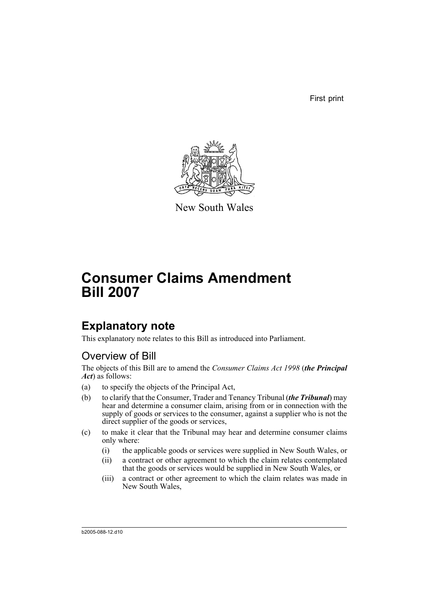First print



New South Wales

# **Consumer Claims Amendment Bill 2007**

# **Explanatory note**

This explanatory note relates to this Bill as introduced into Parliament.

## Overview of Bill

The objects of this Bill are to amend the *Consumer Claims Act 1998* (*the Principal Act*) as follows:

- (a) to specify the objects of the Principal Act,
- (b) to clarify that the Consumer, Trader and Tenancy Tribunal (*the Tribunal*) may hear and determine a consumer claim, arising from or in connection with the supply of goods or services to the consumer, against a supplier who is not the direct supplier of the goods or services,
- (c) to make it clear that the Tribunal may hear and determine consumer claims only where:
	- (i) the applicable goods or services were supplied in New South Wales, or
	- (ii) a contract or other agreement to which the claim relates contemplated that the goods or services would be supplied in New South Wales, or
	- (iii) a contract or other agreement to which the claim relates was made in New South Wales,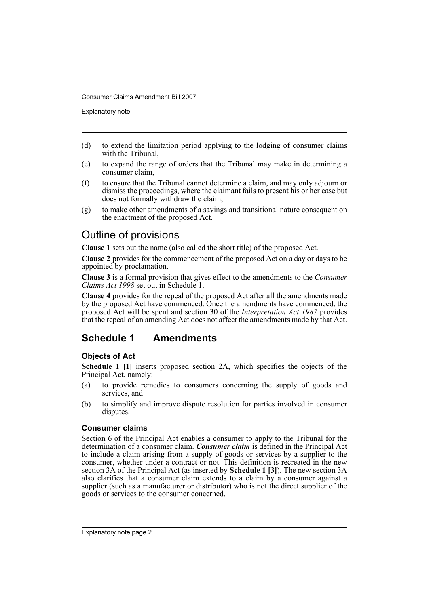Explanatory note

- (d) to extend the limitation period applying to the lodging of consumer claims with the Tribunal,
- (e) to expand the range of orders that the Tribunal may make in determining a consumer claim,
- (f) to ensure that the Tribunal cannot determine a claim, and may only adjourn or dismiss the proceedings, where the claimant fails to present his or her case but does not formally withdraw the claim,
- (g) to make other amendments of a savings and transitional nature consequent on the enactment of the proposed Act.

## Outline of provisions

**Clause 1** sets out the name (also called the short title) of the proposed Act.

**Clause 2** provides for the commencement of the proposed Act on a day or days to be appointed by proclamation.

**Clause 3** is a formal provision that gives effect to the amendments to the *Consumer Claims Act 1998* set out in Schedule 1.

**Clause 4** provides for the repeal of the proposed Act after all the amendments made by the proposed Act have commenced. Once the amendments have commenced, the proposed Act will be spent and section 30 of the *Interpretation Act 1987* provides that the repeal of an amending Act does not affect the amendments made by that Act.

## **Schedule 1 Amendments**

#### **Objects of Act**

**Schedule 1 [1]** inserts proposed section 2A, which specifies the objects of the Principal Act, namely:

- (a) to provide remedies to consumers concerning the supply of goods and services, and
- (b) to simplify and improve dispute resolution for parties involved in consumer disputes.

#### **Consumer claims**

Section 6 of the Principal Act enables a consumer to apply to the Tribunal for the determination of a consumer claim. *Consumer claim* is defined in the Principal Act to include a claim arising from a supply of goods or services by a supplier to the consumer, whether under a contract or not. This definition is recreated in the new section 3A of the Principal Act (as inserted by **Schedule 1 [3]**). The new section 3A also clarifies that a consumer claim extends to a claim by a consumer against a supplier (such as a manufacturer or distributor) who is not the direct supplier of the goods or services to the consumer concerned.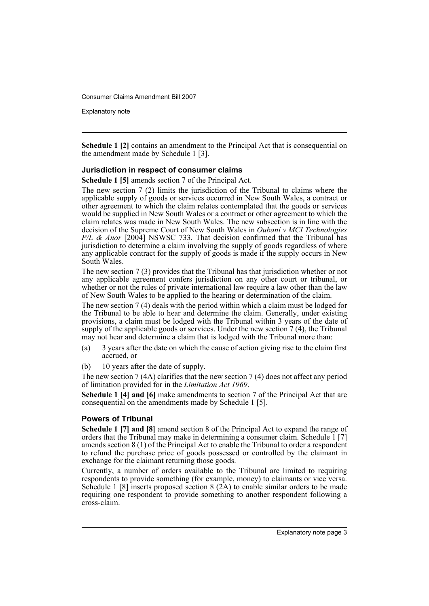Explanatory note

**Schedule 1 [2]** contains an amendment to the Principal Act that is consequential on the amendment made by Schedule 1 [3].

#### **Jurisdiction in respect of consumer claims**

**Schedule 1 [5]** amends section 7 of the Principal Act.

The new section 7 (2) limits the jurisdiction of the Tribunal to claims where the applicable supply of goods or services occurred in New South Wales, a contract or other agreement to which the claim relates contemplated that the goods or services would be supplied in New South Wales or a contract or other agreement to which the claim relates was made in New South Wales. The new subsection is in line with the decision of the Supreme Court of New South Wales in *Oubani v MCI Technologies P/L & Anor* [2004] NSWSC 733. That decision confirmed that the Tribunal has jurisdiction to determine a claim involving the supply of goods regardless of where any applicable contract for the supply of goods is made if the supply occurs in New South Wales.

The new section 7 (3) provides that the Tribunal has that jurisdiction whether or not any applicable agreement confers jurisdiction on any other court or tribunal, or whether or not the rules of private international law require a law other than the law of New South Wales to be applied to the hearing or determination of the claim.

The new section 7 (4) deals with the period within which a claim must be lodged for the Tribunal to be able to hear and determine the claim. Generally, under existing provisions, a claim must be lodged with the Tribunal within 3 years of the date of supply of the applicable goods or services. Under the new section 7 (4), the Tribunal may not hear and determine a claim that is lodged with the Tribunal more than:

- (a) 3 years after the date on which the cause of action giving rise to the claim first accrued, or
- (b) 10 years after the date of supply.

The new section 7 (4A) clarifies that the new section 7 (4) does not affect any period of limitation provided for in the *Limitation Act 1969*.

**Schedule 1 [4] and [6]** make amendments to section 7 of the Principal Act that are consequential on the amendments made by Schedule 1 [5].

#### **Powers of Tribunal**

**Schedule 1 [7] and [8]** amend section 8 of the Principal Act to expand the range of orders that the Tribunal may make in determining a consumer claim. Schedule 1 [7] amends section 8 (1) of the Principal Act to enable the Tribunal to order a respondent to refund the purchase price of goods possessed or controlled by the claimant in exchange for the claimant returning those goods.

Currently, a number of orders available to the Tribunal are limited to requiring respondents to provide something (for example, money) to claimants or vice versa. Schedule 1 [8] inserts proposed section  $8(2A)$  to enable similar orders to be made requiring one respondent to provide something to another respondent following a cross-claim.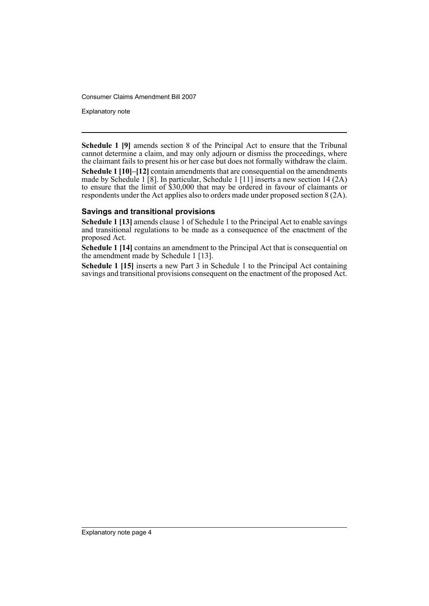Explanatory note

**Schedule 1 [9]** amends section 8 of the Principal Act to ensure that the Tribunal cannot determine a claim, and may only adjourn or dismiss the proceedings, where the claimant fails to present his or her case but does not formally withdraw the claim. **Schedule 1 [10]–[12]** contain amendments that are consequential on the amendments made by Schedule 1 [8]. In particular, Schedule 1 [11] inserts a new section 14 (2A) to ensure that the limit of \$30,000 that may be ordered in favour of claimants or respondents under the Act applies also to orders made under proposed section 8 (2A).

#### **Savings and transitional provisions**

**Schedule 1 [13]** amends clause 1 of Schedule 1 to the Principal Act to enable savings and transitional regulations to be made as a consequence of the enactment of the proposed Act.

**Schedule 1 [14]** contains an amendment to the Principal Act that is consequential on the amendment made by Schedule 1 [13].

**Schedule 1 [15]** inserts a new Part 3 in Schedule 1 to the Principal Act containing savings and transitional provisions consequent on the enactment of the proposed Act.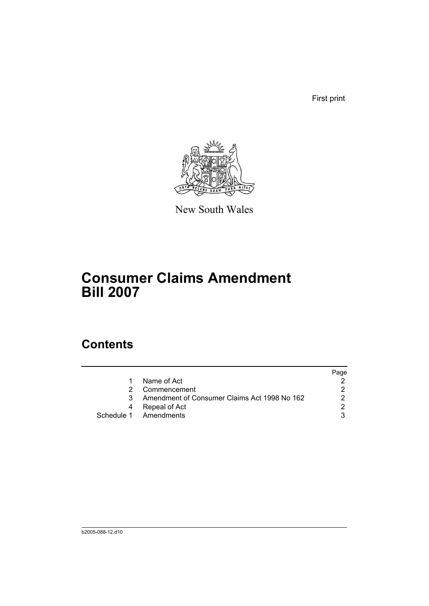First print



New South Wales

# **Consumer Claims Amendment Bill 2007**

# **Contents**

|   |                                              | Page |
|---|----------------------------------------------|------|
|   | Name of Act                                  |      |
|   | Commencement                                 |      |
| 3 | Amendment of Consumer Claims Act 1998 No 162 |      |
|   | Repeal of Act                                |      |
|   | Schedule 1 Amendments                        |      |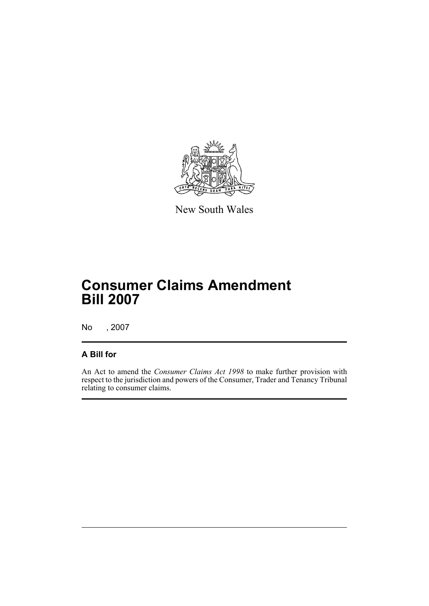

New South Wales

# **Consumer Claims Amendment Bill 2007**

No , 2007

### **A Bill for**

An Act to amend the *Consumer Claims Act 1998* to make further provision with respect to the jurisdiction and powers of the Consumer, Trader and Tenancy Tribunal relating to consumer claims.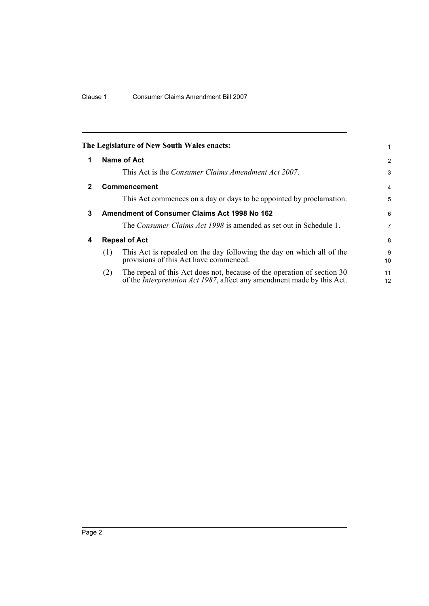<span id="page-7-3"></span><span id="page-7-2"></span><span id="page-7-1"></span><span id="page-7-0"></span>

|              | The Legislature of New South Wales enacts:                                                                                                                       |          |
|--------------|------------------------------------------------------------------------------------------------------------------------------------------------------------------|----------|
| 1            | Name of Act                                                                                                                                                      | 2        |
|              | This Act is the <i>Consumer Claims Amendment Act 2007</i> .                                                                                                      | 3        |
| $\mathbf{2}$ | <b>Commencement</b>                                                                                                                                              | 4        |
|              | This Act commences on a day or days to be appointed by proclamation.                                                                                             | 5        |
| 3            | Amendment of Consumer Claims Act 1998 No 162                                                                                                                     | 6        |
|              | The Consumer Claims Act 1998 is amended as set out in Schedule 1.                                                                                                | 7        |
| 4            | <b>Repeal of Act</b>                                                                                                                                             | 8        |
|              | This Act is repealed on the day following the day on which all of the<br>(1)<br>provisions of this Act have commenced.                                           | 9<br>10  |
|              | The repeal of this Act does not, because of the operation of section 30<br>(2)<br>of the <i>Interpretation Act 1987</i> , affect any amendment made by this Act. | 11<br>12 |
|              |                                                                                                                                                                  |          |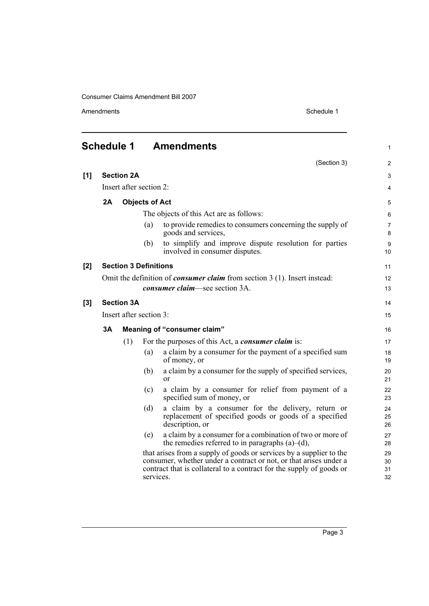Amendments Schedule 1

<span id="page-8-0"></span>

|       | <b>Schedule 1</b>       |                                                                                    |                       | <b>Amendments</b>                                                                                                                                                                                                | $\mathbf{1}$         |
|-------|-------------------------|------------------------------------------------------------------------------------|-----------------------|------------------------------------------------------------------------------------------------------------------------------------------------------------------------------------------------------------------|----------------------|
|       |                         |                                                                                    |                       | (Section 3)                                                                                                                                                                                                      | $\overline{2}$       |
| [1]   |                         | <b>Section 2A</b>                                                                  |                       |                                                                                                                                                                                                                  | 3                    |
|       |                         | Insert after section 2:                                                            |                       |                                                                                                                                                                                                                  | 4                    |
|       | 2A                      |                                                                                    | <b>Objects of Act</b> |                                                                                                                                                                                                                  | 5                    |
|       |                         |                                                                                    |                       | The objects of this Act are as follows:                                                                                                                                                                          | 6                    |
|       |                         |                                                                                    | (a)                   | to provide remedies to consumers concerning the supply of<br>goods and services.                                                                                                                                 | $\overline{7}$<br>8  |
|       |                         |                                                                                    | (b)                   | to simplify and improve dispute resolution for parties<br>involved in consumer disputes.                                                                                                                         | 9<br>10 <sup>°</sup> |
| [2]   |                         | <b>Section 3 Definitions</b>                                                       |                       |                                                                                                                                                                                                                  | 11                   |
|       |                         | Omit the definition of <i>consumer claim</i> from section $3(1)$ . Insert instead: |                       |                                                                                                                                                                                                                  |                      |
|       |                         |                                                                                    |                       | consumer claim—see section 3A.                                                                                                                                                                                   | 13                   |
| $[3]$ | <b>Section 3A</b>       |                                                                                    |                       |                                                                                                                                                                                                                  |                      |
|       | Insert after section 3: |                                                                                    |                       |                                                                                                                                                                                                                  | 15                   |
|       | 3Α                      |                                                                                    |                       | Meaning of "consumer claim"                                                                                                                                                                                      | 16                   |
|       |                         | (1)                                                                                |                       | For the purposes of this Act, a <i>consumer claim</i> is:                                                                                                                                                        | 17                   |
|       |                         |                                                                                    | (a)                   | a claim by a consumer for the payment of a specified sum<br>of money, or                                                                                                                                         | 18<br>19             |
|       |                         |                                                                                    | (b)                   | a claim by a consumer for the supply of specified services,<br><sub>or</sub>                                                                                                                                     | 20<br>21             |
|       |                         |                                                                                    | (c)                   | a claim by a consumer for relief from payment of a<br>specified sum of money, or                                                                                                                                 | 22<br>23             |
|       |                         |                                                                                    | (d)                   | a claim by a consumer for the delivery, return or<br>replacement of specified goods or goods of a specified<br>description, or                                                                                   | 24<br>25<br>26       |
|       |                         |                                                                                    | (e)                   | a claim by a consumer for a combination of two or more of<br>the remedies referred to in paragraphs $(a)$ – $(d)$ ,                                                                                              | 27<br>28             |
|       |                         |                                                                                    | services.             | that arises from a supply of goods or services by a supplier to the<br>consumer, whether under a contract or not, or that arises under a<br>contract that is collateral to a contract for the supply of goods or | 29<br>30<br>31<br>32 |

Page 3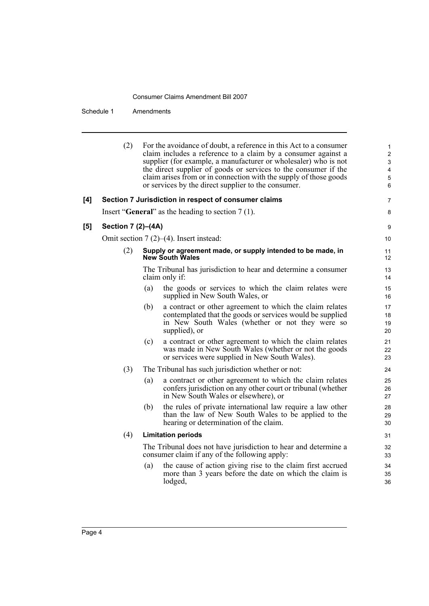Schedule 1 Amendments

|     | (2)                                           |     | For the avoidance of doubt, a reference in this Act to a consumer<br>claim includes a reference to a claim by a consumer against a<br>supplier (for example, a manufacturer or wholesaler) who is not<br>the direct supplier of goods or services to the consumer if the<br>claim arises from or in connection with the supply of those goods<br>or services by the direct supplier to the consumer. | 1<br>$\overline{\mathbf{c}}$<br>3<br>4<br>5<br>6 |  |
|-----|-----------------------------------------------|-----|------------------------------------------------------------------------------------------------------------------------------------------------------------------------------------------------------------------------------------------------------------------------------------------------------------------------------------------------------------------------------------------------------|--------------------------------------------------|--|
| [4] |                                               |     | Section 7 Jurisdiction in respect of consumer claims                                                                                                                                                                                                                                                                                                                                                 | 7                                                |  |
|     |                                               |     | Insert "General" as the heading to section $7(1)$ .                                                                                                                                                                                                                                                                                                                                                  | 8                                                |  |
| [5] | Section 7 (2)-(4A)                            |     |                                                                                                                                                                                                                                                                                                                                                                                                      | 9                                                |  |
|     | Omit section $7(2)$ – $(4)$ . Insert instead: |     |                                                                                                                                                                                                                                                                                                                                                                                                      |                                                  |  |
|     | (2)                                           |     | Supply or agreement made, or supply intended to be made, in<br><b>New South Wales</b>                                                                                                                                                                                                                                                                                                                | 11<br>12                                         |  |
|     |                                               |     | The Tribunal has jurisdiction to hear and determine a consumer<br>claim only if:                                                                                                                                                                                                                                                                                                                     | 13<br>14                                         |  |
|     |                                               | (a) | the goods or services to which the claim relates were<br>supplied in New South Wales, or                                                                                                                                                                                                                                                                                                             | 15<br>16                                         |  |
|     |                                               | (b) | a contract or other agreement to which the claim relates<br>contemplated that the goods or services would be supplied<br>in New South Wales (whether or not they were so<br>supplied), or                                                                                                                                                                                                            | 17<br>18<br>19<br>20                             |  |
|     |                                               | (c) | a contract or other agreement to which the claim relates<br>was made in New South Wales (whether or not the goods<br>or services were supplied in New South Wales).                                                                                                                                                                                                                                  | 21<br>22<br>23                                   |  |
|     | (3)                                           |     | The Tribunal has such jurisdiction whether or not:                                                                                                                                                                                                                                                                                                                                                   | 24                                               |  |
|     |                                               | (a) | a contract or other agreement to which the claim relates<br>confers jurisdiction on any other court or tribunal (whether<br>in New South Wales or elsewhere), or                                                                                                                                                                                                                                     | 25<br>26<br>27                                   |  |
|     |                                               | (b) | the rules of private international law require a law other<br>than the law of New South Wales to be applied to the<br>hearing or determination of the claim.                                                                                                                                                                                                                                         | 28<br>29<br>30                                   |  |
|     | (4)                                           |     | <b>Limitation periods</b>                                                                                                                                                                                                                                                                                                                                                                            | 31                                               |  |
|     |                                               |     | The Tribunal does not have jurisdiction to hear and determine a<br>consumer claim if any of the following apply:                                                                                                                                                                                                                                                                                     | 32<br>33                                         |  |
|     |                                               | (a) | the cause of action giving rise to the claim first accrued<br>more than 3 years before the date on which the claim is<br>lodged,                                                                                                                                                                                                                                                                     | 34<br>35<br>36                                   |  |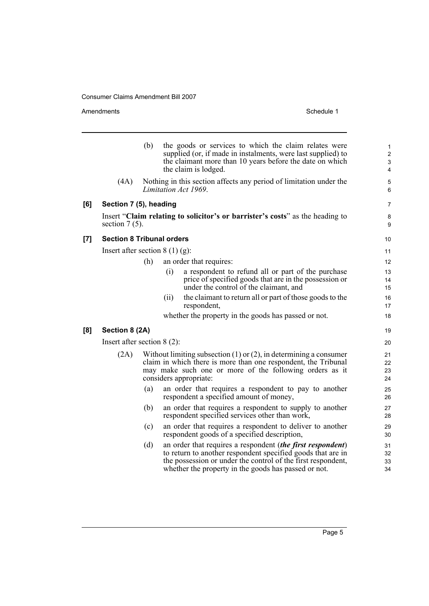Amendments Schedule 1

|     |                                  | (b) |      | the goods or services to which the claim relates were<br>supplied (or, if made in instalments, were last supplied) to<br>the claimant more than 10 years before the date on which<br>the claim is lodged.                                                | $\mathbf{1}$<br>2<br>3<br>4 |
|-----|----------------------------------|-----|------|----------------------------------------------------------------------------------------------------------------------------------------------------------------------------------------------------------------------------------------------------------|-----------------------------|
|     | (4A)                             |     |      | Nothing in this section affects any period of limitation under the<br>Limitation Act 1969.                                                                                                                                                               | 5<br>6                      |
| [6] | Section 7 (5), heading           |     |      |                                                                                                                                                                                                                                                          | 7                           |
|     | section $7(5)$ .                 |     |      | Insert "Claim relating to solicitor's or barrister's costs" as the heading to                                                                                                                                                                            | 8<br>9                      |
| [7] | <b>Section 8 Tribunal orders</b> |     |      |                                                                                                                                                                                                                                                          | 10                          |
|     | Insert after section $8(1)(g)$ : |     |      |                                                                                                                                                                                                                                                          | 11                          |
|     |                                  | (h) |      | an order that requires:                                                                                                                                                                                                                                  | 12                          |
|     |                                  |     | (i)  | a respondent to refund all or part of the purchase<br>price of specified goods that are in the possession or<br>under the control of the claimant, and                                                                                                   | 13<br>14<br>15              |
|     |                                  |     | (ii) | the claimant to return all or part of those goods to the<br>respondent,                                                                                                                                                                                  | 16<br>17                    |
|     |                                  |     |      | whether the property in the goods has passed or not.                                                                                                                                                                                                     | 18                          |
| [8] | Section 8 (2A)                   |     |      |                                                                                                                                                                                                                                                          | 19                          |
|     | Insert after section $8(2)$ :    |     |      |                                                                                                                                                                                                                                                          | 20                          |
|     | (2A)                             |     |      | Without limiting subsection $(1)$ or $(2)$ , in determining a consumer<br>claim in which there is more than one respondent, the Tribunal<br>may make such one or more of the following orders as it<br>considers appropriate:                            | 21<br>22<br>23<br>24        |
|     |                                  | (a) |      | an order that requires a respondent to pay to another<br>respondent a specified amount of money,                                                                                                                                                         | 25<br>26                    |
|     |                                  | (b) |      | an order that requires a respondent to supply to another<br>respondent specified services other than work,                                                                                                                                               | 27<br>28                    |
|     |                                  | (c) |      | an order that requires a respondent to deliver to another<br>respondent goods of a specified description,                                                                                                                                                | 29<br>30                    |
|     |                                  | (d) |      | an order that requires a respondent <i>(the first respondent)</i><br>to return to another respondent specified goods that are in<br>the possession or under the control of the first respondent,<br>whether the property in the goods has passed or not. | 31<br>32<br>33<br>34        |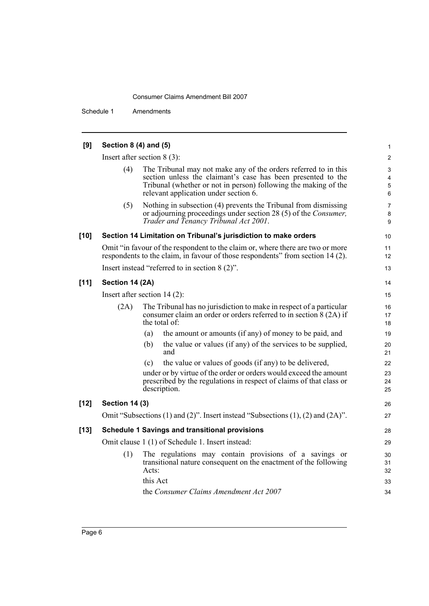Schedule 1 Amendments

| [9]    | Section 8 (4) and (5) |                                                                                                                                                                                                                                             | 1                                      |
|--------|-----------------------|---------------------------------------------------------------------------------------------------------------------------------------------------------------------------------------------------------------------------------------------|----------------------------------------|
|        |                       | Insert after section $8(3)$ :                                                                                                                                                                                                               | $\overline{2}$                         |
|        | (4)                   | The Tribunal may not make any of the orders referred to in this<br>section unless the claimant's case has been presented to the<br>Tribunal (whether or not in person) following the making of the<br>relevant application under section 6. | 3<br>$\overline{\mathbf{4}}$<br>5<br>6 |
|        | (5)                   | Nothing in subsection (4) prevents the Tribunal from dismissing<br>or adjourning proceedings under section 28 (5) of the <i>Consumer</i> ,<br>Trader and Tenancy Tribunal Act 2001.                                                         | 7<br>8<br>9                            |
| $[10]$ |                       | Section 14 Limitation on Tribunal's jurisdiction to make orders                                                                                                                                                                             | 10                                     |
|        |                       | Omit "in favour of the respondent to the claim or, where there are two or more<br>respondents to the claim, in favour of those respondents" from section 14 (2).                                                                            | 11<br>12                               |
|        |                       | Insert instead "referred to in section $8(2)$ ".                                                                                                                                                                                            | 13                                     |
| $[11]$ | Section 14 (2A)       |                                                                                                                                                                                                                                             | 14                                     |
|        |                       | Insert after section $14(2)$ :                                                                                                                                                                                                              | 15                                     |
|        | (2A)                  | The Tribunal has no jurisdiction to make in respect of a particular<br>consumer claim an order or orders referred to in section 8 (2A) if<br>the total of:                                                                                  | 16<br>17<br>18                         |
|        |                       | the amount or amounts (if any) of money to be paid, and<br>(a)                                                                                                                                                                              | 19                                     |
|        |                       | the value or values (if any) of the services to be supplied,<br>(b)<br>and                                                                                                                                                                  | 20<br>21                               |
|        |                       | the value or values of goods (if any) to be delivered,<br>(c)                                                                                                                                                                               | 22                                     |
|        |                       | under or by virtue of the order or orders would exceed the amount<br>prescribed by the regulations in respect of claims of that class or<br>description.                                                                                    | 23<br>24<br>25                         |
| $[12]$ | <b>Section 14 (3)</b> |                                                                                                                                                                                                                                             | 26                                     |
|        |                       | Omit "Subsections (1) and (2)". Insert instead "Subsections (1), (2) and (2A)".                                                                                                                                                             | 27                                     |
| $[13]$ |                       | <b>Schedule 1 Savings and transitional provisions</b>                                                                                                                                                                                       | 28                                     |
|        |                       | Omit clause 1 (1) of Schedule 1. Insert instead:                                                                                                                                                                                            | 29                                     |
|        | (1)                   | The regulations may contain provisions of a savings or<br>transitional nature consequent on the enactment of the following<br>Acts:                                                                                                         | 30<br>31<br>32                         |
|        |                       | this Act                                                                                                                                                                                                                                    | 33                                     |
|        |                       | the Consumer Claims Amendment Act 2007                                                                                                                                                                                                      | 34                                     |
|        |                       |                                                                                                                                                                                                                                             |                                        |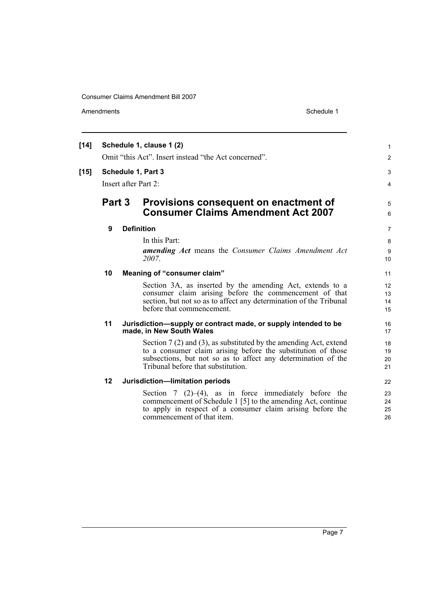Amendments Schedule 1

| $[14]$ | Schedule 1, clause 1 (2) |  |                                                                                                                                                                                                                                              | 1                    |  |
|--------|--------------------------|--|----------------------------------------------------------------------------------------------------------------------------------------------------------------------------------------------------------------------------------------------|----------------------|--|
|        |                          |  | Omit "this Act". Insert instead "the Act concerned".                                                                                                                                                                                         | $\overline{2}$       |  |
| $[15]$ |                          |  | Schedule 1, Part 3                                                                                                                                                                                                                           | 3                    |  |
|        | Insert after Part 2:     |  |                                                                                                                                                                                                                                              |                      |  |
|        | Part 3                   |  | Provisions consequent on enactment of<br><b>Consumer Claims Amendment Act 2007</b>                                                                                                                                                           | 5<br>6               |  |
|        | 9                        |  | <b>Definition</b>                                                                                                                                                                                                                            | $\overline{7}$       |  |
|        |                          |  | In this Part:<br>amending Act means the Consumer Claims Amendment Act<br>2007.                                                                                                                                                               | 8<br>9<br>10         |  |
|        | 10                       |  | Meaning of "consumer claim"                                                                                                                                                                                                                  | 11                   |  |
|        |                          |  | Section 3A, as inserted by the amending Act, extends to a<br>consumer claim arising before the commencement of that<br>section, but not so as to affect any determination of the Tribunal<br>before that commencement.                       | 12<br>13<br>14<br>15 |  |
|        | 11                       |  | Jurisdiction—supply or contract made, or supply intended to be<br>made, in New South Wales                                                                                                                                                   | 16<br>17             |  |
|        |                          |  | Section $7(2)$ and $(3)$ , as substituted by the amending Act, extend<br>to a consumer claim arising before the substitution of those<br>subsections, but not so as to affect any determination of the<br>Tribunal before that substitution. | 18<br>19<br>20<br>21 |  |
|        | 12                       |  | Jurisdiction-limitation periods                                                                                                                                                                                                              | 22                   |  |
|        |                          |  | Section 7 $(2)$ – $(4)$ , as in force immediately before the<br>commencement of Schedule 1 [5] to the amending Act, continue<br>to apply in respect of a consumer claim arising before the<br>commencement of that item.                     | 23<br>24<br>25<br>26 |  |

Page 7